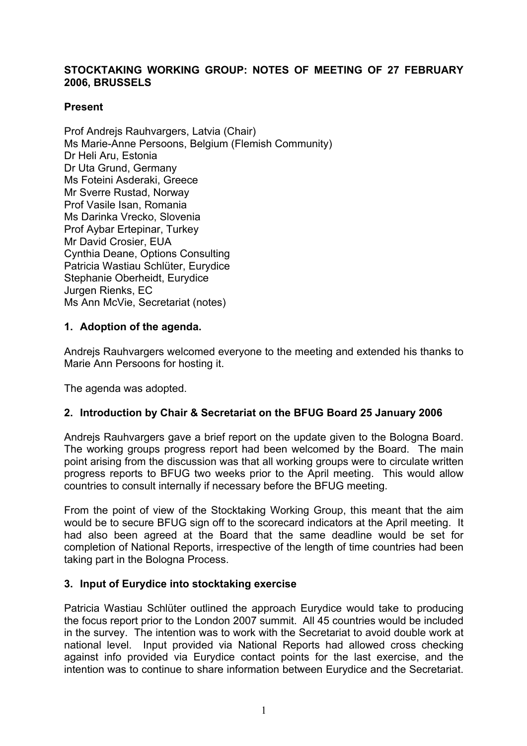## **STOCKTAKING WORKING GROUP: NOTES OF MEETING OF 27 FEBRUARY 2006, BRUSSELS**

### **Present**

Prof Andrejs Rauhvargers, Latvia (Chair) Ms Marie-Anne Persoons, Belgium (Flemish Community) Dr Heli Aru, Estonia Dr Uta Grund, Germany Ms Foteini Asderaki, Greece Mr Sverre Rustad, Norway Prof Vasile Isan, Romania Ms Darinka Vrecko, Slovenia Prof Aybar Ertepinar, Turkey Mr David Crosier, EUA Cynthia Deane, Options Consulting Patricia Wastiau Schlüter, Eurydice Stephanie Oberheidt, Eurydice Jurgen Rienks, EC Ms Ann McVie, Secretariat (notes)

## **1. Adoption of the agenda.**

Andrejs Rauhvargers welcomed everyone to the meeting and extended his thanks to Marie Ann Persoons for hosting it.

The agenda was adopted.

## **2. Introduction by Chair & Secretariat on the BFUG Board 25 January 2006**

Andrejs Rauhvargers gave a brief report on the update given to the Bologna Board. The working groups progress report had been welcomed by the Board. The main point arising from the discussion was that all working groups were to circulate written progress reports to BFUG two weeks prior to the April meeting. This would allow countries to consult internally if necessary before the BFUG meeting.

From the point of view of the Stocktaking Working Group, this meant that the aim would be to secure BFUG sign off to the scorecard indicators at the April meeting. It had also been agreed at the Board that the same deadline would be set for completion of National Reports, irrespective of the length of time countries had been taking part in the Bologna Process.

## **3. Input of Eurydice into stocktaking exercise**

Patricia Wastiau Schlüter outlined the approach Eurydice would take to producing the focus report prior to the London 2007 summit. All 45 countries would be included in the survey. The intention was to work with the Secretariat to avoid double work at national level. Input provided via National Reports had allowed cross checking against info provided via Eurydice contact points for the last exercise, and the intention was to continue to share information between Eurydice and the Secretariat.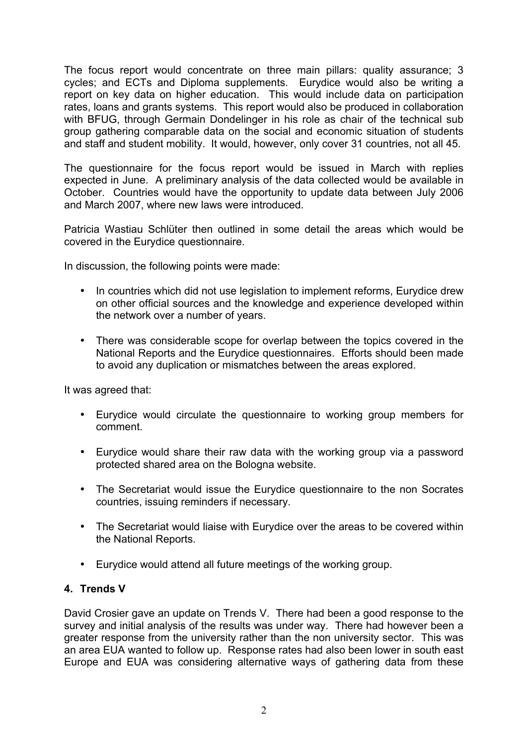The focus report would concentrate on three main pillars: quality assurance; 3 cycles; and ECTs and Diploma supplements. Eurydice would also be writing a report on key data on higher education. This would include data on participation rates, loans and grants systems. This report would also be produced in collaboration with BFUG, through Germain Dondelinger in his role as chair of the technical sub group gathering comparable data on the social and economic situation of students and staff and student mobility. It would, however, only cover 31 countries, not all 45.

The questionnaire for the focus report would be issued in March with replies expected in June. A preliminary analysis of the data collected would be available in October. Countries would have the opportunity to update data between July 2006 and March 2007, where new laws were introduced.

Patricia Wastiau Schlüter then outlined in some detail the areas which would be covered in the Eurydice questionnaire.

In discussion, the following points were made:

- In countries which did not use legislation to implement reforms, Eurydice drew on other official sources and the knowledge and experience developed within the network over a number of years.
- There was considerable scope for overlap between the topics covered in the National Reports and the Eurydice questionnaires. Efforts should been made to avoid any duplication or mismatches between the areas explored.

It was agreed that:

- Eurydice would circulate the questionnaire to working group members for comment.
- Eurydice would share their raw data with the working group via a password protected shared area on the Bologna website.
- The Secretariat would issue the Eurydice questionnaire to the non Socrates countries, issuing reminders if necessary.
- The Secretariat would liaise with Eurydice over the areas to be covered within the National Reports.
- Eurydice would attend all future meetings of the working group.

#### **4. Trends V**

David Crosier gave an update on Trends V. There had been a good response to the survey and initial analysis of the results was under way. There had however been a greater response from the university rather than the non university sector. This was an area EUA wanted to follow up. Response rates had also been lower in south east Europe and EUA was considering alternative ways of gathering data from these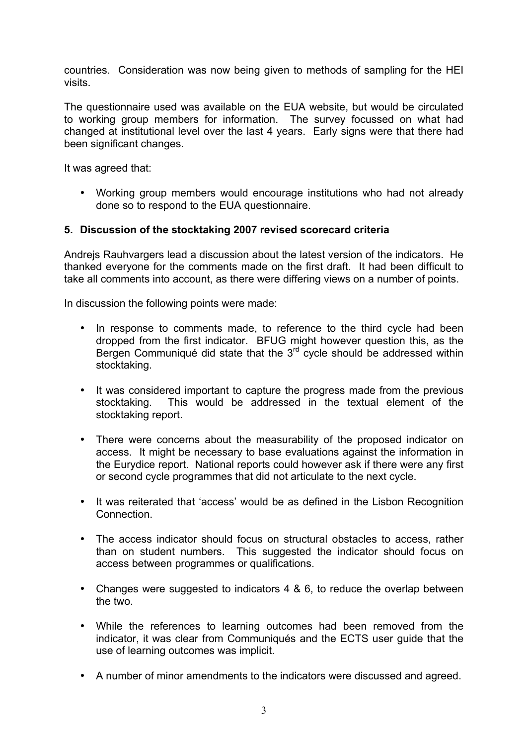countries. Consideration was now being given to methods of sampling for the HEI visits.

The questionnaire used was available on the EUA website, but would be circulated to working group members for information. The survey focussed on what had changed at institutional level over the last 4 years. Early signs were that there had been significant changes.

It was agreed that:

• Working group members would encourage institutions who had not already done so to respond to the EUA questionnaire.

### **5. Discussion of the stocktaking 2007 revised scorecard criteria**

Andrejs Rauhvargers lead a discussion about the latest version of the indicators. He thanked everyone for the comments made on the first draft. It had been difficult to take all comments into account, as there were differing views on a number of points.

In discussion the following points were made:

- In response to comments made, to reference to the third cycle had been dropped from the first indicator. BFUG might however question this, as the Bergen Communiqué did state that the  $3<sup>rd</sup>$  cycle should be addressed within stocktaking.
- It was considered important to capture the progress made from the previous stocktaking. This would be addressed in the textual element of the stocktaking report.
- There were concerns about the measurability of the proposed indicator on access. It might be necessary to base evaluations against the information in the Eurydice report. National reports could however ask if there were any first or second cycle programmes that did not articulate to the next cycle.
- It was reiterated that 'access' would be as defined in the Lisbon Recognition Connection.
- The access indicator should focus on structural obstacles to access, rather than on student numbers. This suggested the indicator should focus on access between programmes or qualifications.
- Changes were suggested to indicators 4 & 6, to reduce the overlap between the two.
- While the references to learning outcomes had been removed from the indicator, it was clear from Communiqués and the ECTS user guide that the use of learning outcomes was implicit.
- A number of minor amendments to the indicators were discussed and agreed.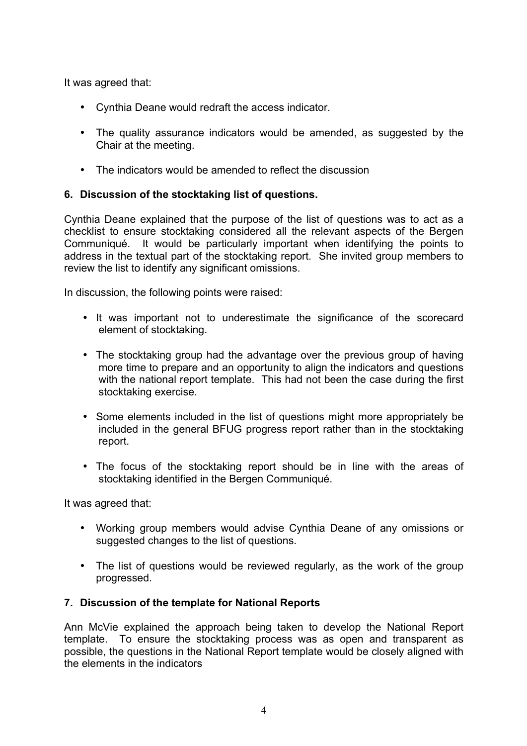It was agreed that:

- Cynthia Deane would redraft the access indicator.
- The quality assurance indicators would be amended, as suggested by the Chair at the meeting.
- The indicators would be amended to reflect the discussion

# **6. Discussion of the stocktaking list of questions.**

Cynthia Deane explained that the purpose of the list of questions was to act as a checklist to ensure stocktaking considered all the relevant aspects of the Bergen Communiqué. It would be particularly important when identifying the points to address in the textual part of the stocktaking report. She invited group members to review the list to identify any significant omissions.

In discussion, the following points were raised:

- It was important not to underestimate the significance of the scorecard element of stocktaking.
- The stocktaking group had the advantage over the previous group of having more time to prepare and an opportunity to align the indicators and questions with the national report template. This had not been the case during the first stocktaking exercise.
- Some elements included in the list of questions might more appropriately be included in the general BFUG progress report rather than in the stocktaking report.
- The focus of the stocktaking report should be in line with the areas of stocktaking identified in the Bergen Communiqué.

It was agreed that:

- Working group members would advise Cynthia Deane of any omissions or suggested changes to the list of questions.
- The list of questions would be reviewed regularly, as the work of the group progressed.

## **7. Discussion of the template for National Reports**

Ann McVie explained the approach being taken to develop the National Report template. To ensure the stocktaking process was as open and transparent as possible, the questions in the National Report template would be closely aligned with the elements in the indicators